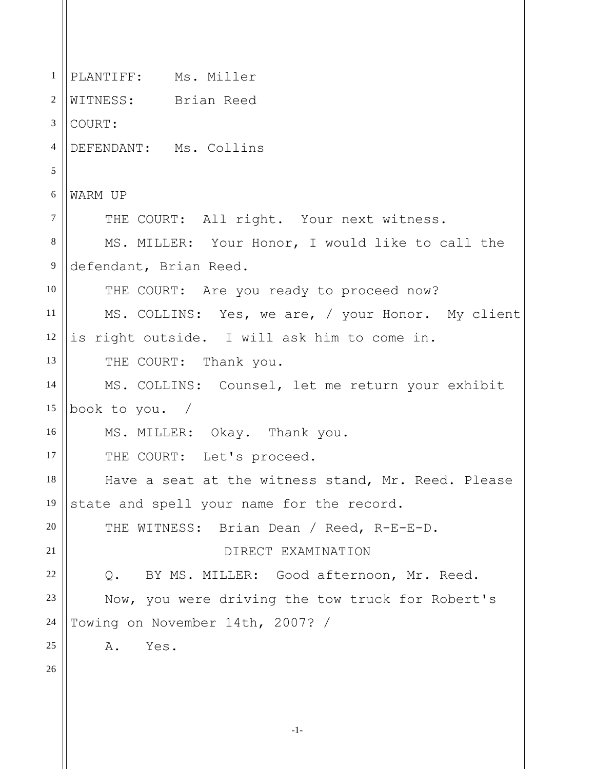-1- 1 2 3 4 5 6 7 8 9 10 11 12 13 14 15 16 17 18 19 20 21 22 23 24 25 26 PLANTIFF: Ms. Miller WITNESS: Brian Reed COURT: DEFENDANT: Ms. Collins WARM UP THE COURT: All right. Your next witness. MS. MILLER: Your Honor, I would like to call the defendant, Brian Reed. THE COURT: Are you ready to proceed now? MS. COLLINS: Yes, we are, / your Honor. My client is right outside. I will ask him to come in. THE COURT: Thank you. MS. COLLINS: Counsel, let me return your exhibit book to you. / MS. MILLER: Okay. Thank you. THE COURT: Let's proceed. Have a seat at the witness stand, Mr. Reed. Please state and spell your name for the record. THE WITNESS: Brian Dean / Reed, R-E-E-D. DIRECT EXAMINATION Q. BY MS. MILLER: Good afternoon, Mr. Reed. Now, you were driving the tow truck for Robert's Towing on November 14th, 2007? / A. Yes.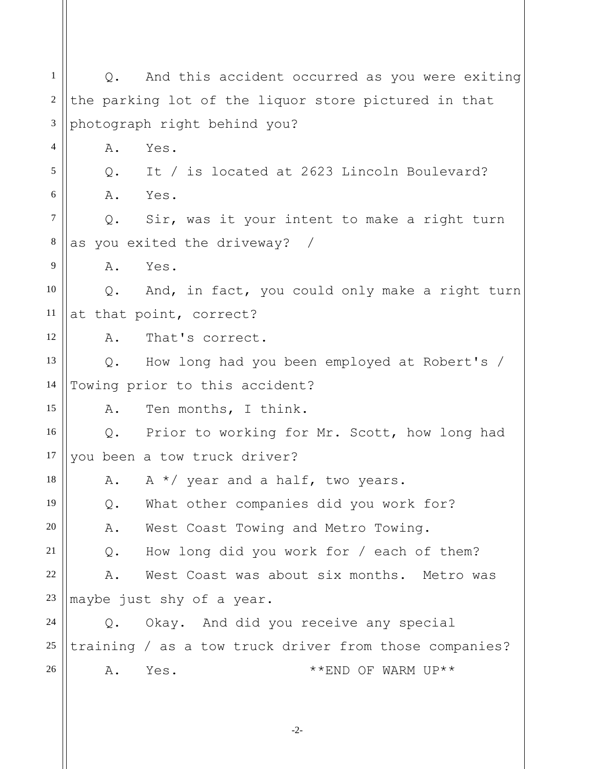1 2 3 4 5 6 7 8 9 10 11 12 13 14 15 16 17 18 19 20 21 22 23 24 25 26 Q. And this accident occurred as you were exiting the parking lot of the liquor store pictured in that photograph right behind you? A. Yes. Q. It / is located at 2623 Lincoln Boulevard? A. Yes. Q. Sir, was it your intent to make a right turn as you exited the driveway? / A. Yes. Q. And, in fact, you could only make a right turn at that point, correct? A. That's correct. Q. How long had you been employed at Robert's / Towing prior to this accident? A. Ten months, I think. Q. Prior to working for Mr. Scott, how long had you been a tow truck driver? A.  $A \star /$  year and a half, two years. Q. What other companies did you work for? A. West Coast Towing and Metro Towing. Q. How long did you work for / each of them? A. West Coast was about six months. Metro was maybe just shy of a year. Q. Okay. And did you receive any special training / as a tow truck driver from those companies? A. Yes.  $**END OF WARM UP**$ 

-2-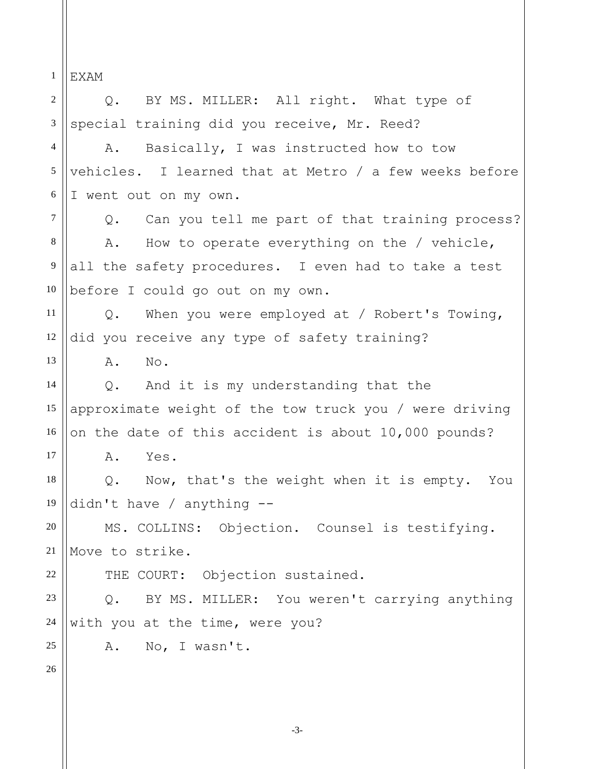1 2 3 4 5 6 7 8 9 10 11 12 13 14 15 16 17 18 19 20 21 22 23 24 25 26 EXAM Q. BY MS. MILLER: All right. What type of special training did you receive, Mr. Reed? A. Basically, I was instructed how to tow vehicles. I learned that at Metro / a few weeks before I went out on my own. Q. Can you tell me part of that training process? A. How to operate everything on the / vehicle, all the safety procedures. I even had to take a test before I could go out on my own. Q. When you were employed at / Robert's Towing, did you receive any type of safety training? A. No. Q. And it is my understanding that the approximate weight of the tow truck you / were driving on the date of this accident is about 10,000 pounds? A. Yes. Q. Now, that's the weight when it is empty. You didn't have / anything -- MS. COLLINS: Objection. Counsel is testifying. Move to strike. THE COURT: Objection sustained. Q. BY MS. MILLER: You weren't carrying anything with you at the time, were you? A. No, I wasn't.

-3-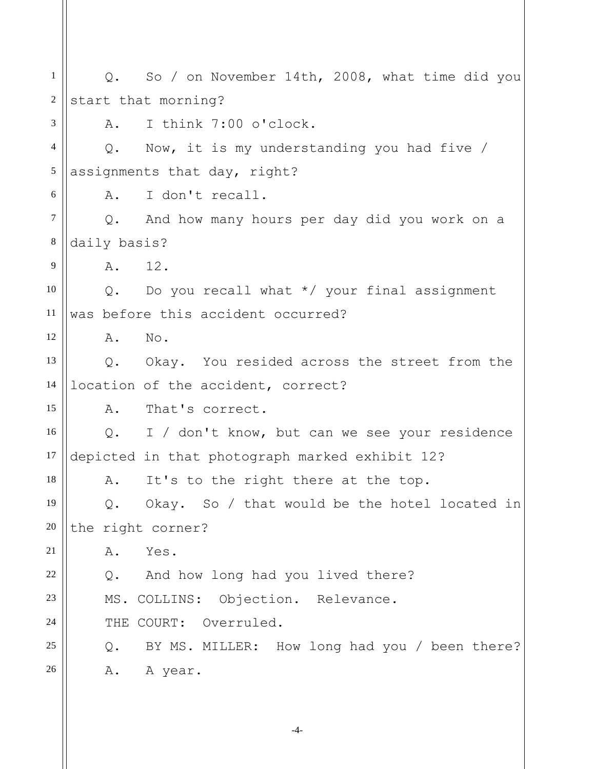1 2 3 4 5 6 7 8 9 10 11 12 13 14 15 16 17 18 19 20 21 22 23 24 25 26 Q. So / on November 14th, 2008, what time did you start that morning? A. I think 7:00 o'clock. Q. Now, it is my understanding you had five / assignments that day, right? A. I don't recall. Q. And how many hours per day did you work on a daily basis? A. 12. Q. Do you recall what \*/ your final assignment was before this accident occurred? A. No. Q. Okay. You resided across the street from the location of the accident, correct? A. That's correct. Q. I / don't know, but can we see your residence depicted in that photograph marked exhibit 12? A. It's to the right there at the top. Q. Okay. So / that would be the hotel located in the right corner? A. Yes. Q. And how long had you lived there? MS. COLLINS: Objection. Relevance. THE COURT: Overruled. Q. BY MS. MILLER: How long had you / been there? A. A year.

-4-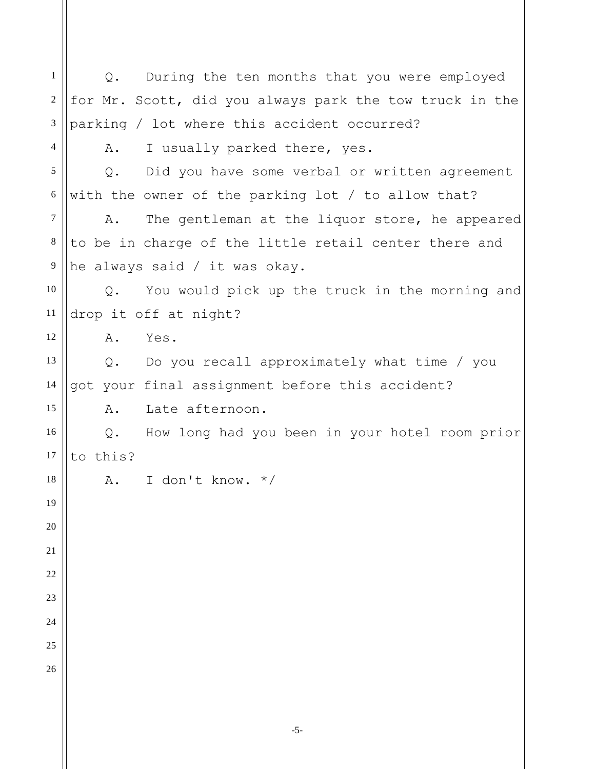1 2 3 4 5 6 7 8 9 10 11 12 13 14 15 16 17 18 19 20 21 22 23 24 25 26 Q. During the ten months that you were employed for Mr. Scott, did you always park the tow truck in the parking / lot where this accident occurred? A. I usually parked there, yes. Q. Did you have some verbal or written agreement with the owner of the parking lot / to allow that? A. The gentleman at the liquor store, he appeared to be in charge of the little retail center there and he always said / it was okay. Q. You would pick up the truck in the morning and drop it off at night? A. Yes. Q. Do you recall approximately what time / you got your final assignment before this accident? A. Late afternoon. Q. How long had you been in your hotel room prior to this? A. I don't know. \*/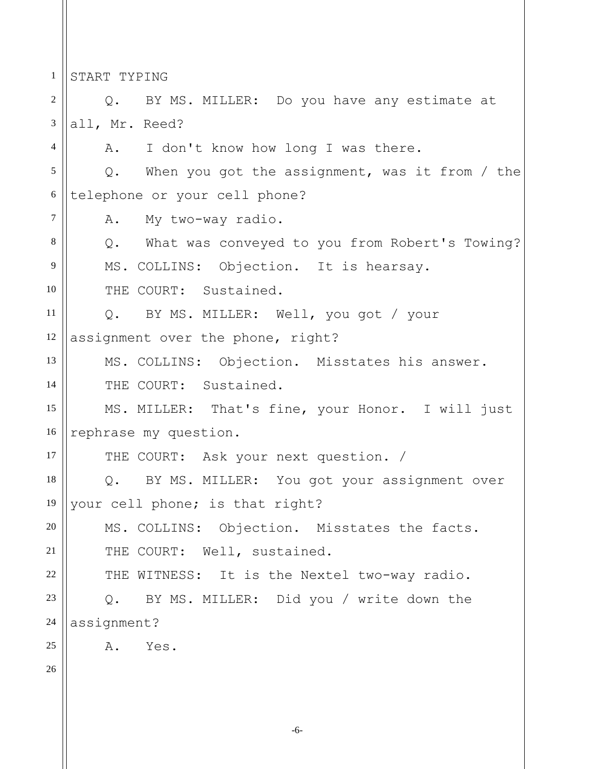1 START TYPING

2 3 4 5 6 7 8 9 10 11 12 13 14 15 16 17 18 19 20 21 22 23 24 25 26 Q. BY MS. MILLER: Do you have any estimate at all, Mr. Reed? A. I don't know how long I was there. Q. When you got the assignment, was it from / the telephone or your cell phone? A. My two-way radio. Q. What was conveyed to you from Robert's Towing? MS. COLLINS: Objection. It is hearsay. THE COURT: Sustained. Q. BY MS. MILLER: Well, you got / your assignment over the phone, right? MS. COLLINS: Objection. Misstates his answer. THE COURT: Sustained. MS. MILLER: That's fine, your Honor. I will just rephrase my question. THE COURT: Ask your next question. / Q. BY MS. MILLER: You got your assignment over your cell phone; is that right? MS. COLLINS: Objection. Misstates the facts. THE COURT: Well, sustained. THE WITNESS: It is the Nextel two-way radio. Q. BY MS. MILLER: Did you / write down the assignment? A. Yes.

-6-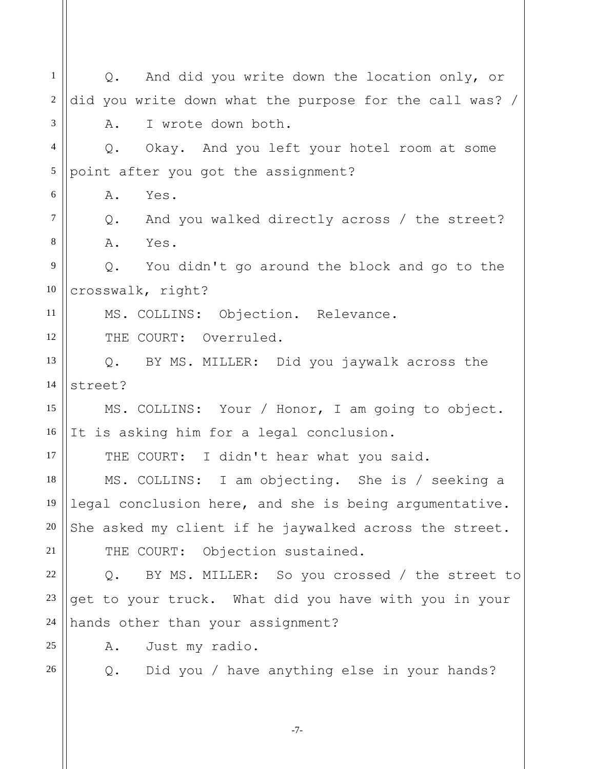1 2 3 4 5 6 7 8 9 10 11 12 13 14 15 16 17 18 19 20 21 22 23 24 25 26 Q. And did you write down the location only, or did you write down what the purpose for the call was? / A. I wrote down both. Q. Okay. And you left your hotel room at some point after you got the assignment? A. Yes. Q. And you walked directly across / the street? A. Yes. Q. You didn't go around the block and go to the crosswalk, right? MS. COLLINS: Objection. Relevance. THE COURT: Overruled. Q. BY MS. MILLER: Did you jaywalk across the street? MS. COLLINS: Your / Honor, I am going to object. It is asking him for a legal conclusion. THE COURT: I didn't hear what you said. MS. COLLINS: I am objecting. She is / seeking a legal conclusion here, and she is being argumentative. She asked my client if he jaywalked across the street. THE COURT: Objection sustained. Q. BY MS. MILLER: So you crossed / the street to get to your truck. What did you have with you in your hands other than your assignment? A. Just my radio. Q. Did you / have anything else in your hands?

-7-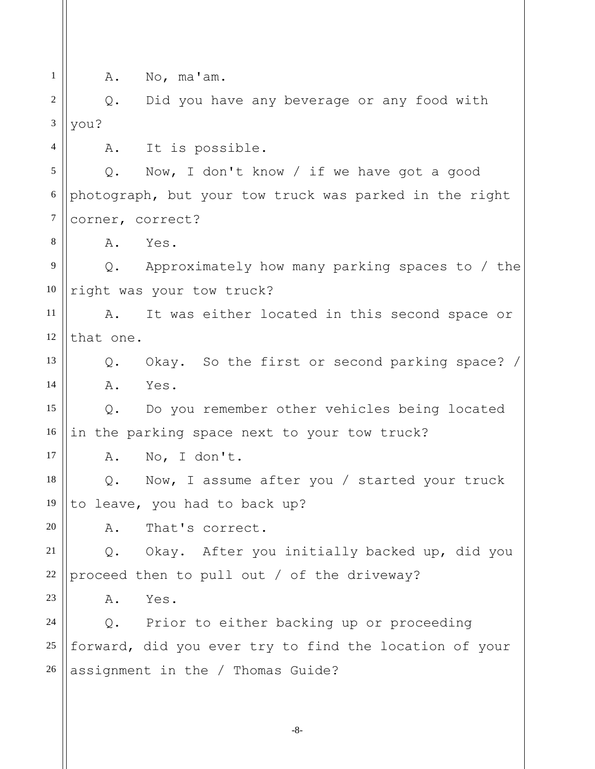1 2 3 4 5 6 7 8 9 10 11 12 13 14 15 16 17 18 19 20 21 22 23 24 25 26 A. No, ma'am. Q. Did you have any beverage or any food with you? A. It is possible. Q. Now, I don't know / if we have got a good photograph, but your tow truck was parked in the right corner, correct? A. Yes. Q. Approximately how many parking spaces to / the right was your tow truck? A. It was either located in this second space or that one. Q. Okay. So the first or second parking space? / A. Yes. Q. Do you remember other vehicles being located in the parking space next to your tow truck? A. No, I don't. Q. Now, I assume after you / started your truck to leave, you had to back up? A. That's correct. Q. Okay. After you initially backed up, did you proceed then to pull out / of the driveway? A. Yes. Q. Prior to either backing up or proceeding forward, did you ever try to find the location of your assignment in the / Thomas Guide?

-8-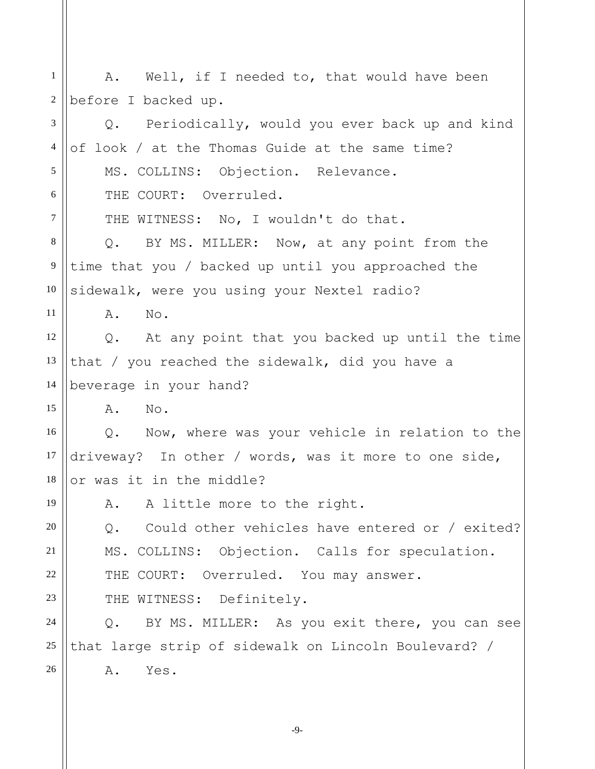1 2 3 4 5 6 7 8 9 10 11 12 13 14 15 16 17 18 19 20 21 22 23 24 25 26 A. Well, if I needed to, that would have been before I backed up. Q. Periodically, would you ever back up and kind of look / at the Thomas Guide at the same time? MS. COLLINS: Objection. Relevance. THE COURT: Overruled. THE WITNESS: No, I wouldn't do that. Q. BY MS. MILLER: Now, at any point from the time that you / backed up until you approached the sidewalk, were you using your Nextel radio? A. No. Q. At any point that you backed up until the time that / you reached the sidewalk, did you have a beverage in your hand? A. No. Q. Now, where was your vehicle in relation to the driveway? In other / words, was it more to one side, or was it in the middle? A. A little more to the right. Q. Could other vehicles have entered or / exited? MS. COLLINS: Objection. Calls for speculation. THE COURT: Overruled. You may answer. THE WITNESS: Definitely. Q. BY MS. MILLER: As you exit there, you can see that large strip of sidewalk on Lincoln Boulevard? / A. Yes.

-9-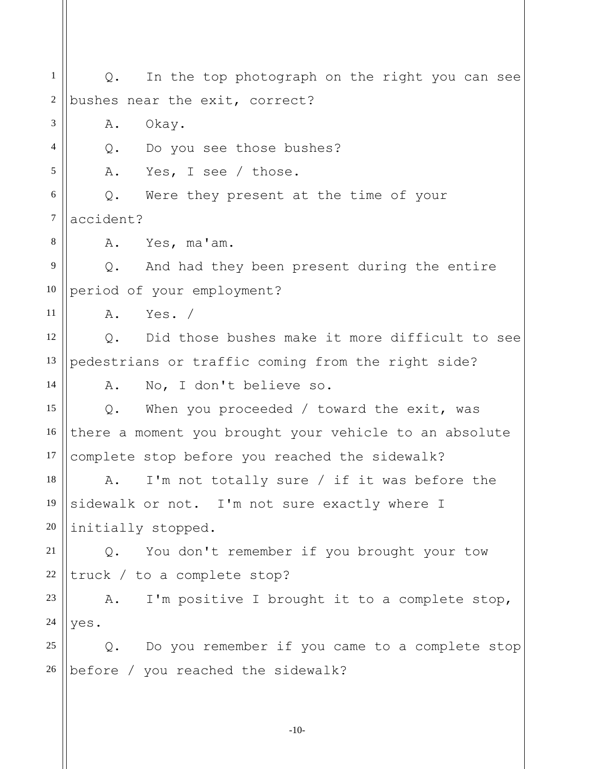1 2 3 4 5 6 7 8 9 10 11 12 13 14 15 16 17 18 19 20 21 22 23 24 25 26 Q. In the top photograph on the right you can see bushes near the exit, correct? A. Okay. Q. Do you see those bushes? A. Yes, I see / those. Q. Were they present at the time of your accident? A. Yes, ma'am. Q. And had they been present during the entire period of your employment? A. Yes. / Q. Did those bushes make it more difficult to see pedestrians or traffic coming from the right side? A. No, I don't believe so. Q. When you proceeded / toward the exit, was there a moment you brought your vehicle to an absolute complete stop before you reached the sidewalk? A. I'm not totally sure / if it was before the sidewalk or not. I'm not sure exactly where I initially stopped. Q. You don't remember if you brought your tow truck / to a complete stop? A. I'm positive I brought it to a complete stop, yes. Q. Do you remember if you came to a complete stop before / you reached the sidewalk?

-10-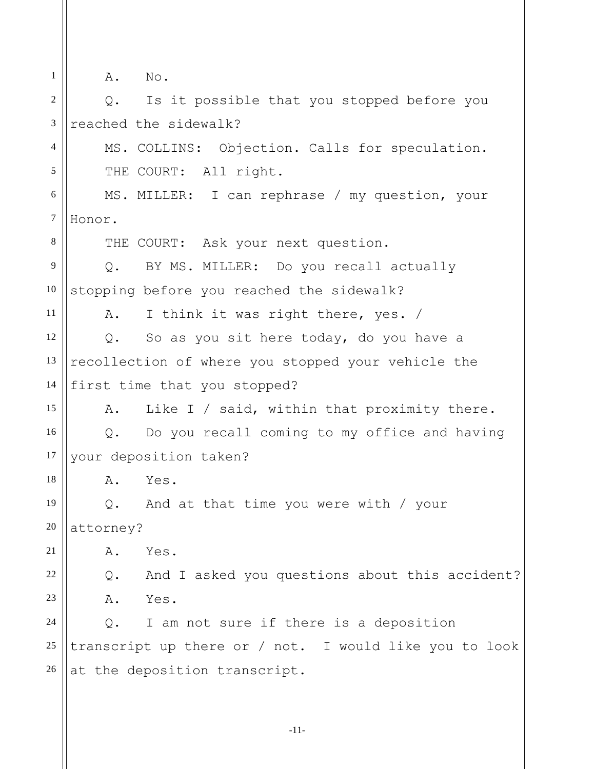| $\mathbf{1}$   | A. No.                                                 |
|----------------|--------------------------------------------------------|
| $\overline{2}$ | Is it possible that you stopped before you<br>$Q$ .    |
| 3              | reached the sidewalk?                                  |
| $\overline{4}$ | MS. COLLINS: Objection. Calls for speculation.         |
| 5              | THE COURT: All right.                                  |
| 6              | MS. MILLER: I can rephrase / my question, your         |
| $\tau$         | Honor.                                                 |
| 8              | THE COURT: Ask your next question.                     |
| 9              | BY MS. MILLER: Do you recall actually<br>Q.            |
| 10             | stopping before you reached the sidewalk?              |
| 11             | I think it was right there, yes. /<br>Α.               |
| 12             | So as you sit here today, do you have a<br>$Q$ .       |
| 13             | recollection of where you stopped your vehicle the     |
| 14             | first time that you stopped?                           |
| 15             | Like I / said, within that proximity there.<br>Α.      |
| 16             | Do you recall coming to my office and having<br>Q.     |
| 17             | your deposition taken?                                 |
| 18             | ${\tt A}$ .<br>Yes.                                    |
| 19             | And at that time you were with / your<br>$Q$ .         |
| 20             | attorney?                                              |
| 21             | Yes.<br>Α.                                             |
| 22             | Q. And I asked you questions about this accident?      |
| 23             | Yes.<br>Α.                                             |
| 24             | I am not sure if there is a deposition<br>Q.           |
| 25             | transcript up there or / not. I would like you to look |
| 26             | at the deposition transcript.                          |
|                |                                                        |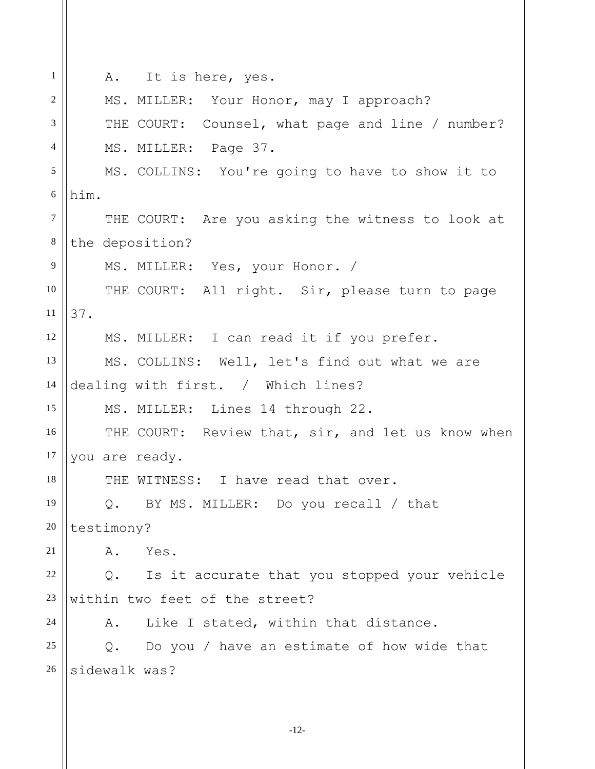| 1              | A. It is here, yes.                                         |
|----------------|-------------------------------------------------------------|
| 2              | MS. MILLER: Your Honor, may I approach?                     |
| 3              | THE COURT: Counsel, what page and line / number?            |
| $\overline{4}$ | MS. MILLER: Page 37.                                        |
| $\sqrt{5}$     | MS. COLLINS: You're going to have to show it to             |
| 6              | him.                                                        |
| $\overline{7}$ | THE COURT: Are you asking the witness to look at            |
| $\,8\,$        | the deposition?                                             |
| $\overline{9}$ | MS. MILLER: Yes, your Honor. /                              |
| 10             | THE COURT: All right. Sir, please turn to page              |
| 11             | 37.                                                         |
| 12             | MS. MILLER: I can read it if you prefer.                    |
| 13             | MS. COLLINS: Well, let's find out what we are               |
| 14             | dealing with first. / Which lines?                          |
| 15             | MS. MILLER: Lines 14 through 22.                            |
| 16             | THE COURT: Review that, sir, and let us know when           |
| 17             | you are ready.                                              |
| 18             | THE WITNESS: I have read that over.                         |
| 19             | Q. BY MS. MILLER: Do you recall / that                      |
| 20             | testimony?                                                  |
| 21             | Yes.<br>Α.                                                  |
| 22             | Is it accurate that you stopped your vehicle<br>$Q$ .       |
| 23             | within two feet of the street?                              |
| 24             | Like I stated, within that distance.<br>Α.                  |
| 25             | Do you / have an estimate of how wide that<br>$Q_{\bullet}$ |
| 26             | sidewalk was?                                               |
|                |                                                             |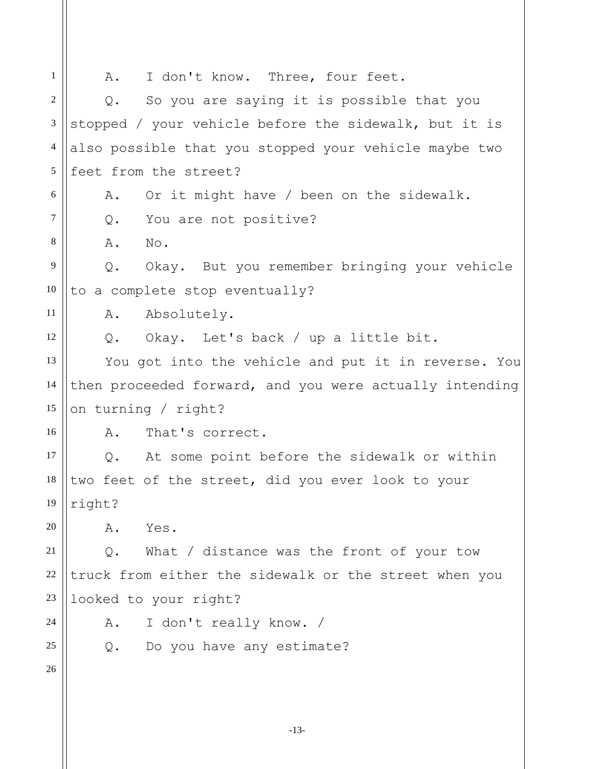1 2 3 4 5 6 7 8 9 10 11 12 13 14 15 16 17 18 19 20 21 22 23 24 25 26 A. I don't know. Three, four feet. Q. So you are saying it is possible that you stopped / your vehicle before the sidewalk, but it is also possible that you stopped your vehicle maybe two feet from the street? A. Or it might have / been on the sidewalk. Q. You are not positive? A. No. Q. Okay. But you remember bringing your vehicle to a complete stop eventually? A. Absolutely. Q. Okay. Let's back / up a little bit. You got into the vehicle and put it in reverse. You then proceeded forward, and you were actually intending on turning / right? A. That's correct. Q. At some point before the sidewalk or within two feet of the street, did you ever look to your right? A. Yes. Q. What / distance was the front of your tow truck from either the sidewalk or the street when you looked to your right? A. I don't really know. / Q. Do you have any estimate?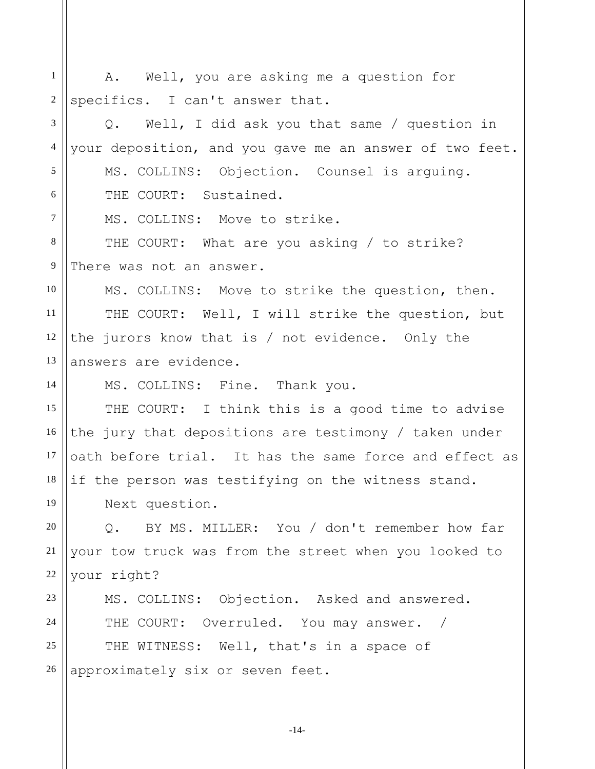1 2 3 4 5 6 7 8 9 10 11 12 13 14 15 16 17 18 19 20 21 22 23 24 25 26 A. Well, you are asking me a question for specifics. I can't answer that. Q. Well, I did ask you that same / question in your deposition, and you gave me an answer of two feet. MS. COLLINS: Objection. Counsel is arguing. THE COURT: Sustained. MS. COLLINS: Move to strike. THE COURT: What are you asking / to strike? There was not an answer. MS. COLLINS: Move to strike the question, then. THE COURT: Well, I will strike the question, but the jurors know that is / not evidence. Only the answers are evidence. MS. COLLINS: Fine. Thank you. THE COURT: I think this is a good time to advise the jury that depositions are testimony / taken under oath before trial. It has the same force and effect as if the person was testifying on the witness stand. Next question. Q. BY MS. MILLER: You / don't remember how far your tow truck was from the street when you looked to your right? MS. COLLINS: Objection. Asked and answered. THE COURT: Overruled. You may answer. / THE WITNESS: Well, that's in a space of approximately six or seven feet.

-14-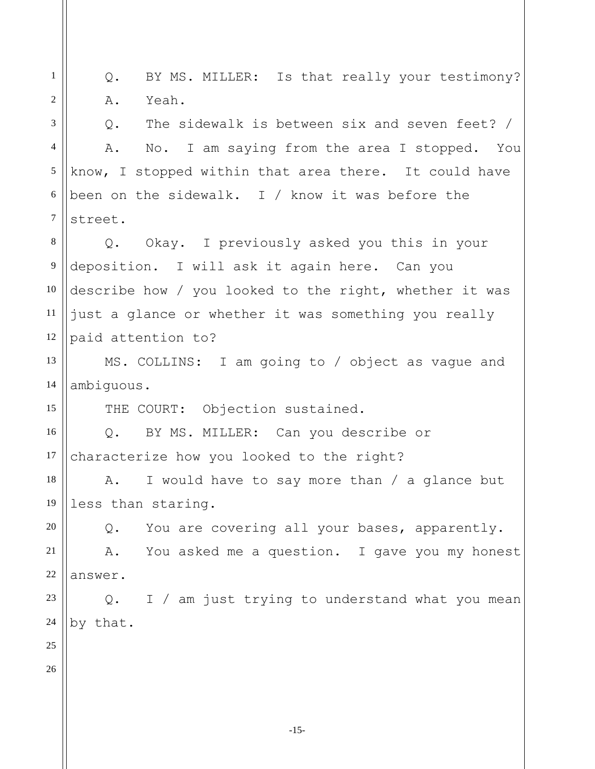1 2 3 4 5 6 7 8 9 10 11 12 13 14 15 16 17 18 19 20 21 22 23 24 25 26 Q. BY MS. MILLER: Is that really your testimony? A. Yeah. Q. The sidewalk is between six and seven feet? / A. No. I am saying from the area I stopped. You know, I stopped within that area there. It could have been on the sidewalk. I / know it was before the street. Q. Okay. I previously asked you this in your deposition. I will ask it again here. Can you describe how / you looked to the right, whether it was just a glance or whether it was something you really paid attention to? MS. COLLINS: I am going to / object as vague and ambiguous. THE COURT: Objection sustained. Q. BY MS. MILLER: Can you describe or characterize how you looked to the right? A. I would have to say more than / a glance but less than staring. Q. You are covering all your bases, apparently. A. You asked me a question. I gave you my honest answer. Q. I / am just trying to understand what you mean by that.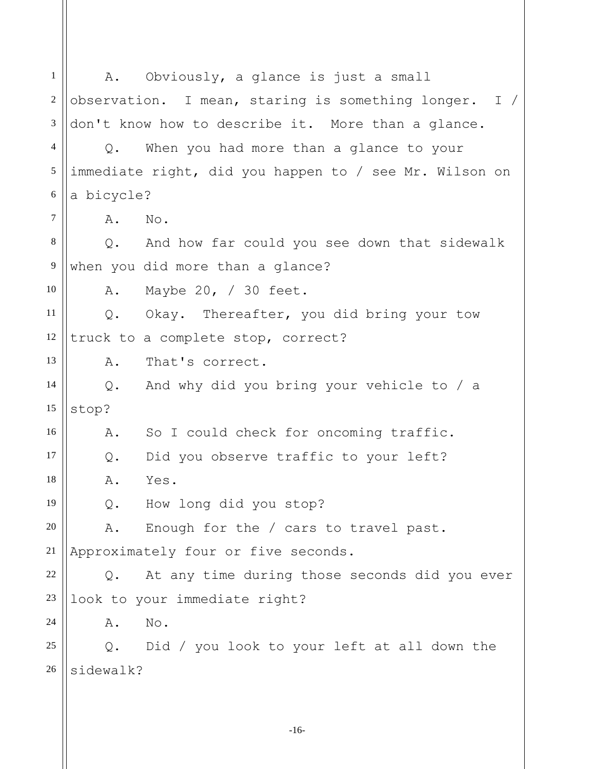1 2 3 4 5 6 7 8 9 10 11 12 13 14 15 16 17 18 19 20 21 22 23 24 25 26 A. Obviously, a glance is just a small observation. I mean, staring is something longer. I / don't know how to describe it. More than a glance. Q. When you had more than a glance to your immediate right, did you happen to / see Mr. Wilson on a bicycle? A. No. Q. And how far could you see down that sidewalk when you did more than a glance? A. Maybe 20, / 30 feet. Q. Okay. Thereafter, you did bring your tow truck to a complete stop, correct? A. That's correct. Q. And why did you bring your vehicle to / a stop? A. So I could check for oncoming traffic. Q. Did you observe traffic to your left? A. Yes. Q. How long did you stop? A. Enough for the / cars to travel past. Approximately four or five seconds. Q. At any time during those seconds did you ever look to your immediate right? A. No. Q. Did / you look to your left at all down the sidewalk?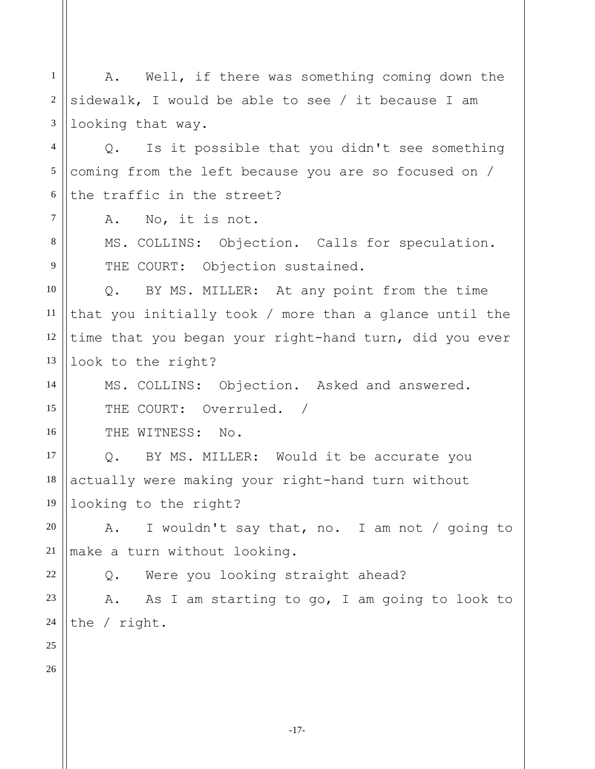-17- 1 2 3 4 5 6 7 8 9 10 11 12 13 14 15 16 17 18 19 20 21 22 23 24 25 26 A. Well, if there was something coming down the sidewalk, I would be able to see / it because I am looking that way. Q. Is it possible that you didn't see something coming from the left because you are so focused on / the traffic in the street? A. No, it is not. MS. COLLINS: Objection. Calls for speculation. THE COURT: Objection sustained. Q. BY MS. MILLER: At any point from the time that you initially took / more than a glance until the time that you began your right-hand turn, did you ever look to the right? MS. COLLINS: Objection. Asked and answered. THE COURT: Overruled. / THE WITNESS: No. Q. BY MS. MILLER: Would it be accurate you actually were making your right-hand turn without looking to the right? A. I wouldn't say that, no. I am not / going to make a turn without looking. Q. Were you looking straight ahead? A. As I am starting to go, I am going to look to the / right.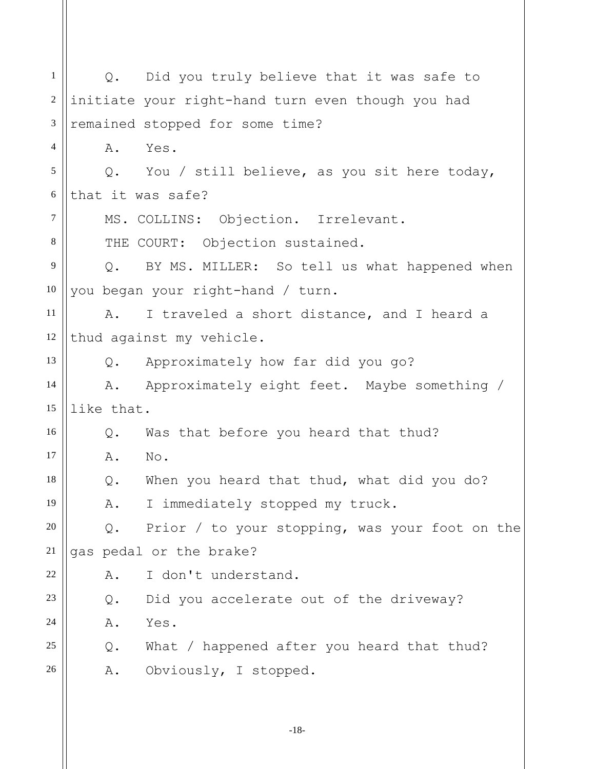1 2 3 4 5 6 7 8 9 10 11 12 13 14 15 16 17 18 19 20 21 22 23 24 25 26 Q. Did you truly believe that it was safe to initiate your right-hand turn even though you had remained stopped for some time? A. Yes. Q. You / still believe, as you sit here today, that it was safe? MS. COLLINS: Objection. Irrelevant. THE COURT: Objection sustained. Q. BY MS. MILLER: So tell us what happened when you began your right-hand / turn. A. I traveled a short distance, and I heard a thud against my vehicle. Q. Approximately how far did you go? A. Approximately eight feet. Maybe something / like that. Q. Was that before you heard that thud? A. No. Q. When you heard that thud, what did you do? A. I immediately stopped my truck. Q. Prior / to your stopping, was your foot on the gas pedal or the brake? A. I don't understand. Q. Did you accelerate out of the driveway? A. Yes. Q. What / happened after you heard that thud? A. Obviously, I stopped.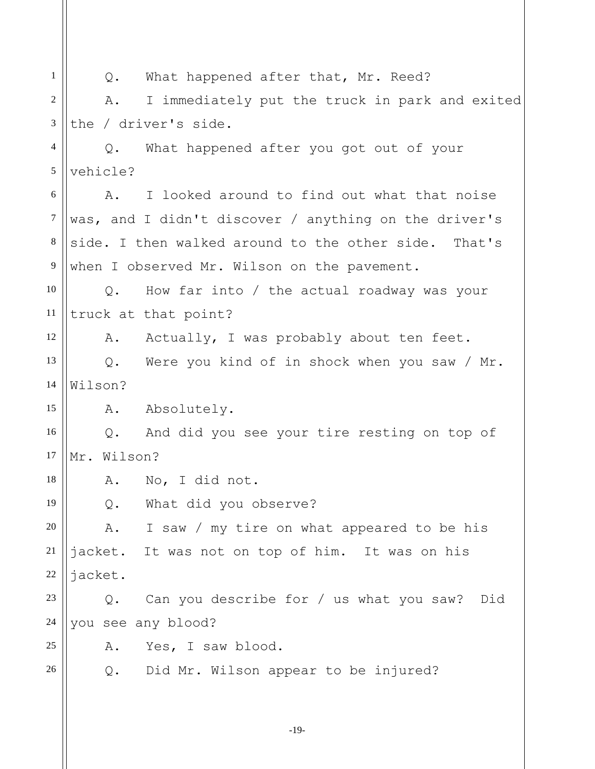1 2 3 4 5 6 7 8 9 10 11 12 13 14 15 16 17 18 19 20 21 22 23 24 25 26 Q. What happened after that, Mr. Reed? A. I immediately put the truck in park and exited the / driver's side. Q. What happened after you got out of your vehicle? A. I looked around to find out what that noise was, and I didn't discover / anything on the driver's side. I then walked around to the other side. That's when I observed Mr. Wilson on the pavement. Q. How far into / the actual roadway was your truck at that point? A. Actually, I was probably about ten feet. Q. Were you kind of in shock when you saw / Mr. Wilson? A. Absolutely. Q. And did you see your tire resting on top of Mr. Wilson? A. No, I did not. Q. What did you observe? A. I saw / my tire on what appeared to be his jacket. It was not on top of him. It was on his jacket. Q. Can you describe for / us what you saw? Did you see any blood? A. Yes, I saw blood. Q. Did Mr. Wilson appear to be injured?